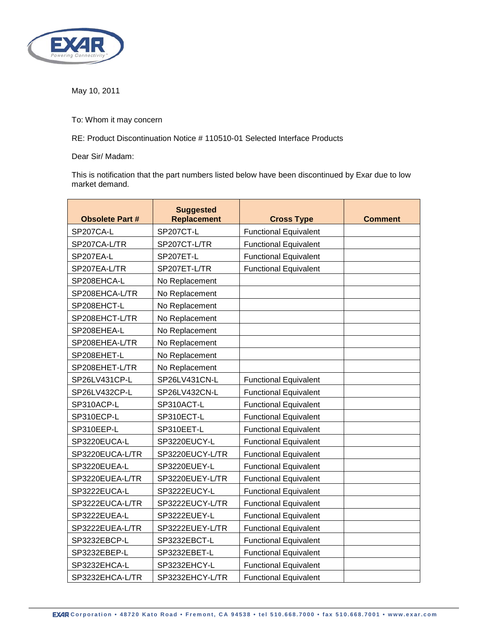

May 10, 2011

To: Whom it may concern

RE: Product Discontinuation Notice # 110510-01 Selected Interface Products

Dear Sir/ Madam:

This is notification that the part numbers listed below have been discontinued by Exar due to low market demand.

| <b>Obsolete Part #</b> | <b>Suggested</b><br><b>Replacement</b> | <b>Cross Type</b>            | <b>Comment</b> |
|------------------------|----------------------------------------|------------------------------|----------------|
| SP207CA-L              | SP207CT-L                              | <b>Functional Equivalent</b> |                |
| SP207CA-L/TR           | SP207CT-L/TR                           | <b>Functional Equivalent</b> |                |
| SP207EA-L              | SP207ET-L                              | <b>Functional Equivalent</b> |                |
| SP207EA-L/TR           | SP207ET-L/TR                           | <b>Functional Equivalent</b> |                |
| SP208EHCA-L            | No Replacement                         |                              |                |
| SP208EHCA-L/TR         | No Replacement                         |                              |                |
| SP208EHCT-L            | No Replacement                         |                              |                |
| SP208EHCT-L/TR         | No Replacement                         |                              |                |
| SP208EHEA-L            | No Replacement                         |                              |                |
| SP208EHEA-L/TR         | No Replacement                         |                              |                |
| SP208EHET-L            | No Replacement                         |                              |                |
| SP208EHET-L/TR         | No Replacement                         |                              |                |
| SP26LV431CP-L          | SP26LV431CN-L                          | <b>Functional Equivalent</b> |                |
| SP26LV432CP-L          | SP26LV432CN-L                          | <b>Functional Equivalent</b> |                |
| SP310ACP-L             | SP310ACT-L                             | <b>Functional Equivalent</b> |                |
| SP310ECP-L             | SP310ECT-L                             | <b>Functional Equivalent</b> |                |
| SP310EEP-L             | SP310EET-L                             | <b>Functional Equivalent</b> |                |
| SP3220EUCA-L           | SP3220EUCY-L                           | <b>Functional Equivalent</b> |                |
| SP3220EUCA-L/TR        | SP3220EUCY-L/TR                        | <b>Functional Equivalent</b> |                |
| SP3220EUEA-L           | SP3220EUEY-L                           | <b>Functional Equivalent</b> |                |
| SP3220EUEA-L/TR        | SP3220EUEY-L/TR                        | <b>Functional Equivalent</b> |                |
| SP3222EUCA-L           | SP3222EUCY-L                           | <b>Functional Equivalent</b> |                |
| SP3222EUCA-L/TR        | SP3222EUCY-L/TR                        | <b>Functional Equivalent</b> |                |
| SP3222EUEA-L           | SP3222EUEY-L                           | <b>Functional Equivalent</b> |                |
| SP3222EUEA-L/TR        | SP3222EUEY-L/TR                        | <b>Functional Equivalent</b> |                |
| SP3232EBCP-L           | SP3232EBCT-L                           | <b>Functional Equivalent</b> |                |
| SP3232EBEP-L           | SP3232EBET-L                           | <b>Functional Equivalent</b> |                |
| SP3232EHCA-L           | SP3232EHCY-L                           | <b>Functional Equivalent</b> |                |
| SP3232EHCA-L/TR        | SP3232EHCY-L/TR                        | <b>Functional Equivalent</b> |                |